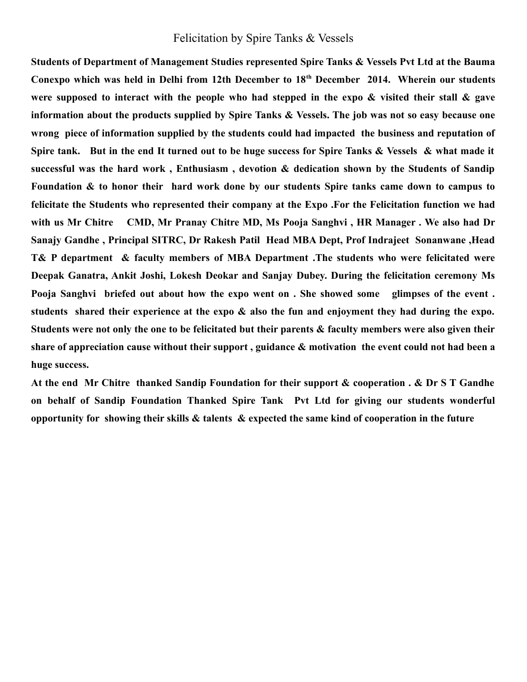## Felicitation by Spire Tanks & Vessels

**Students of Department of Management Studies represented Spire Tanks & Vessels Pvt Ltd at the Bauma Conexpo which was held in Delhi from 12th December to 18th December 2014. Wherein our students were supposed to interact with the people who had stepped in the expo & visited their stall & gave information about the products supplied by Spire Tanks & Vessels. The job was not so easy because one wrong piece of information supplied by the students could had impacted the business and reputation of Spire tank. But in the end It turned out to be huge success for Spire Tanks & Vessels & what made it successful was the hard work , Enthusiasm , devotion & dedication shown by the Students of Sandip Foundation & to honor their hard work done by our students Spire tanks came down to campus to felicitate the Students who represented their company at the Expo .For the Felicitation function we had with us Mr Chitre CMD, Mr Pranay Chitre MD, Ms Pooja Sanghvi , HR Manager . We also had Dr Sanajy Gandhe , Principal SITRC, Dr Rakesh Patil Head MBA Dept, Prof Indrajeet Sonanwane ,Head T& P department & faculty members of MBA Department .The students who were felicitated were Deepak Ganatra, Ankit Joshi, Lokesh Deokar and Sanjay Dubey. During the felicitation ceremony Ms Pooja Sanghvi briefed out about how the expo went on . She showed some glimpses of the event . students shared their experience at the expo & also the fun and enjoyment they had during the expo. Students were not only the one to be felicitated but their parents & faculty members were also given their share of appreciation cause without their support , guidance & motivation the event could not had been a huge success.** 

**At the end Mr Chitre thanked Sandip Foundation for their support & cooperation . & Dr S T Gandhe on behalf of Sandip Foundation Thanked Spire Tank Pvt Ltd for giving our students wonderful opportunity for showing their skills & talents & expected the same kind of cooperation in the future**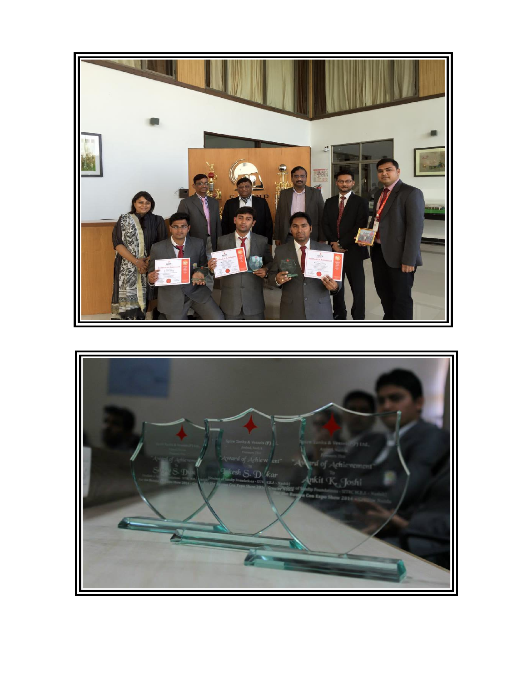